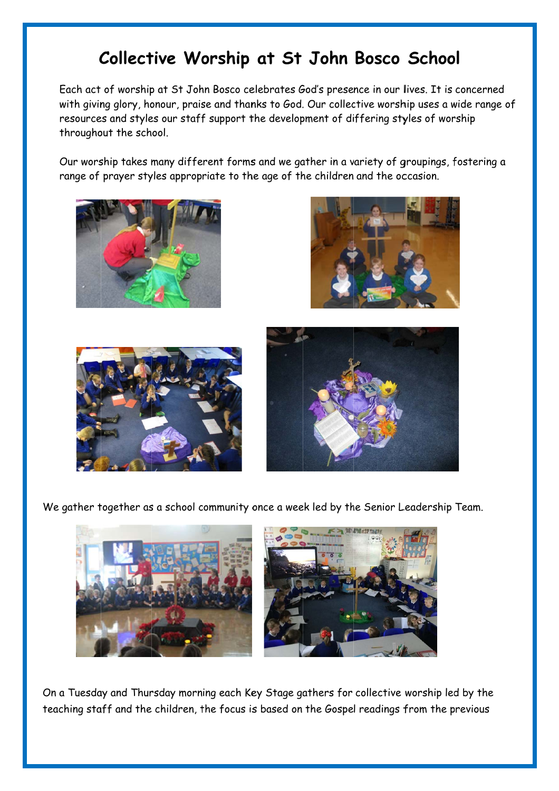## Collective Worship at St John Bosco School

Each act of worship at St John Bosco celebrates God's presence in our lives. It is concerned with giving glory, honour, praise and thanks to God. Our collective worship uses a wide range of resources and styles our staff support the development of differing styles of worship throughout the school.

Our worship takes many different forms and we gather in a variety of groupings, fostering a range of prayer styles appropriate to the age of the children and the occasion.









We gather together as a school community once a week led by the Senior Leadership Team.



On a Tuesday and Thursday morning each Key Stage gathers for collective worship led by the teaching staff and the children, the focus is based on the Gospel readings from the previous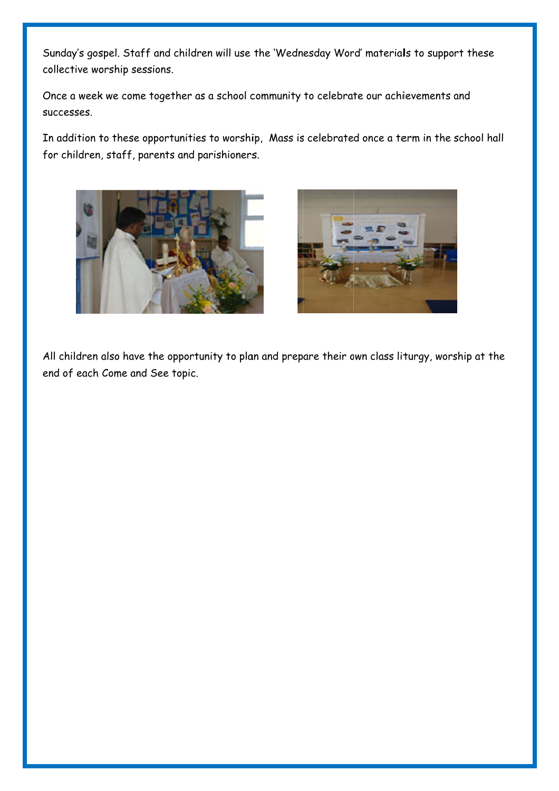Sunday's gospel. Staff and children will use the 'Wednesday Word' materials to support these collective worship sessions.

Once a week we come together as a school community to celebrate our achievements and successes.

In addition to these opportunities to worship, Mass is celebrated once a term in the school hall for children, staff, parents and parishioners.





All children also have the opportunity to plan and prepare their own class liturgy, worship at the end of each Come and See topic.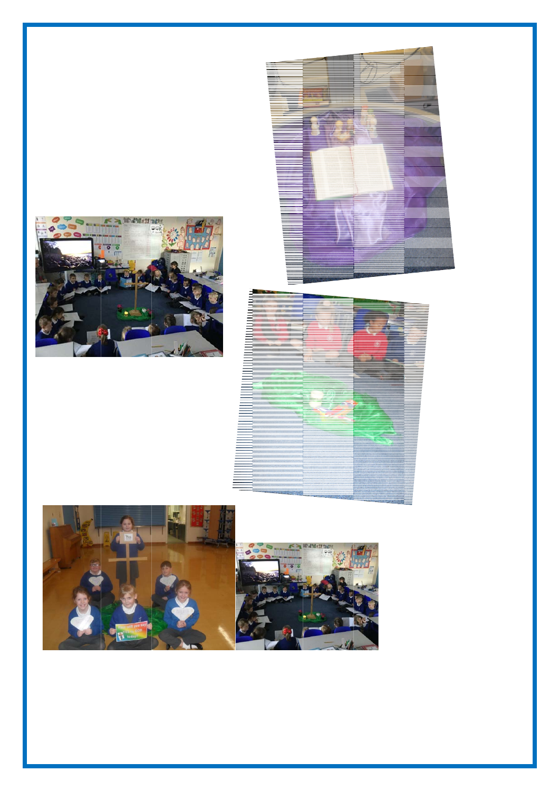